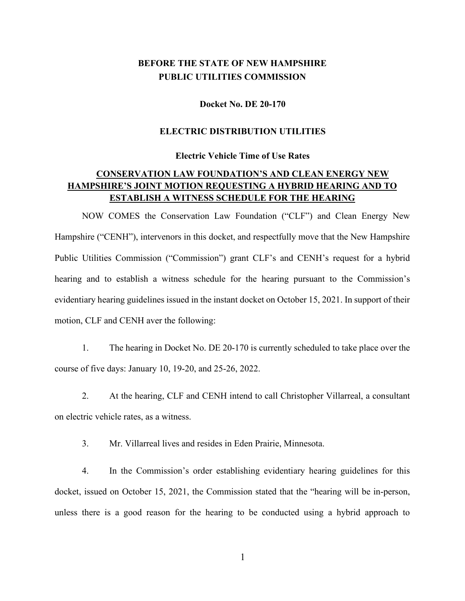# **BEFORE THE STATE OF NEW HAMPSHIRE PUBLIC UTILITIES COMMISSION**

#### **Docket No. DE 20-170**

#### **ELECTRIC DISTRIBUTION UTILITIES**

#### **Electric Vehicle Time of Use Rates**

## **CONSERVATION LAW FOUNDATION'S AND CLEAN ENERGY NEW HAMPSHIRE'S JOINT MOTION REQUESTING A HYBRID HEARING AND TO ESTABLISH A WITNESS SCHEDULE FOR THE HEARING**

NOW COMES the Conservation Law Foundation ("CLF") and Clean Energy New Hampshire ("CENH"), intervenors in this docket, and respectfully move that the New Hampshire Public Utilities Commission ("Commission") grant CLF's and CENH's request for a hybrid hearing and to establish a witness schedule for the hearing pursuant to the Commission's evidentiary hearing guidelines issued in the instant docket on October 15, 2021. In support of their motion, CLF and CENH aver the following:

1. The hearing in Docket No. DE 20-170 is currently scheduled to take place over the course of five days: January 10, 19-20, and 25-26, 2022.

2. At the hearing, CLF and CENH intend to call Christopher Villarreal, a consultant on electric vehicle rates, as a witness.

3. Mr. Villarreal lives and resides in Eden Prairie, Minnesota.

4. In the Commission's order establishing evidentiary hearing guidelines for this docket, issued on October 15, 2021, the Commission stated that the "hearing will be in-person, unless there is a good reason for the hearing to be conducted using a hybrid approach to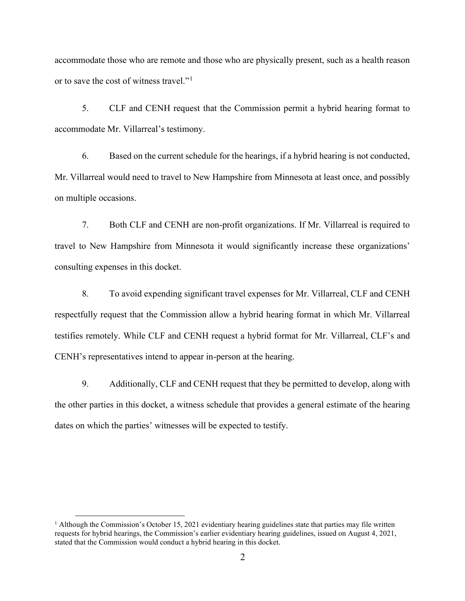accommodate those who are remote and those who are physically present, such as a health reason or to save the cost of witness travel."[1](#page-1-0)

5. CLF and CENH request that the Commission permit a hybrid hearing format to accommodate Mr. Villarreal's testimony.

6. Based on the current schedule for the hearings, if a hybrid hearing is not conducted, Mr. Villarreal would need to travel to New Hampshire from Minnesota at least once, and possibly on multiple occasions.

7. Both CLF and CENH are non-profit organizations. If Mr. Villarreal is required to travel to New Hampshire from Minnesota it would significantly increase these organizations' consulting expenses in this docket.

8. To avoid expending significant travel expenses for Mr. Villarreal, CLF and CENH respectfully request that the Commission allow a hybrid hearing format in which Mr. Villarreal testifies remotely. While CLF and CENH request a hybrid format for Mr. Villarreal, CLF's and CENH's representatives intend to appear in-person at the hearing.

9. Additionally, CLF and CENH request that they be permitted to develop, along with the other parties in this docket, a witness schedule that provides a general estimate of the hearing dates on which the parties' witnesses will be expected to testify.

<span id="page-1-0"></span><sup>&</sup>lt;sup>1</sup> Although the Commission's October 15, 2021 evidentiary hearing guidelines state that parties may file written requests for hybrid hearings, the Commission's earlier evidentiary hearing guidelines, issued on August 4, 2021, stated that the Commission would conduct a hybrid hearing in this docket.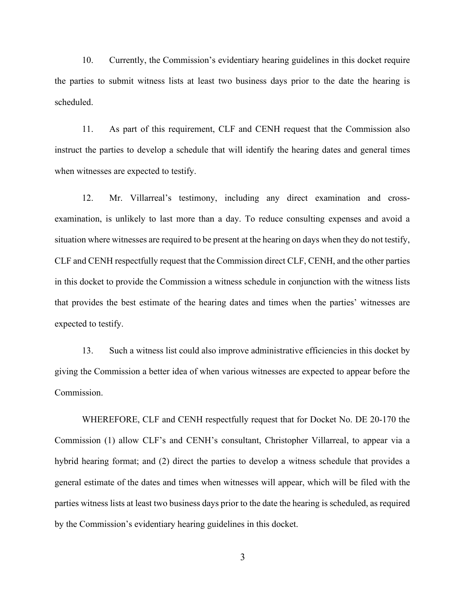10. Currently, the Commission's evidentiary hearing guidelines in this docket require the parties to submit witness lists at least two business days prior to the date the hearing is scheduled.

11. As part of this requirement, CLF and CENH request that the Commission also instruct the parties to develop a schedule that will identify the hearing dates and general times when witnesses are expected to testify.

12. Mr. Villarreal's testimony, including any direct examination and crossexamination, is unlikely to last more than a day. To reduce consulting expenses and avoid a situation where witnesses are required to be present at the hearing on days when they do not testify, CLF and CENH respectfully request that the Commission direct CLF, CENH, and the other parties in this docket to provide the Commission a witness schedule in conjunction with the witness lists that provides the best estimate of the hearing dates and times when the parties' witnesses are expected to testify.

13. Such a witness list could also improve administrative efficiencies in this docket by giving the Commission a better idea of when various witnesses are expected to appear before the Commission.

WHEREFORE, CLF and CENH respectfully request that for Docket No. DE 20-170 the Commission (1) allow CLF's and CENH's consultant, Christopher Villarreal, to appear via a hybrid hearing format; and (2) direct the parties to develop a witness schedule that provides a general estimate of the dates and times when witnesses will appear, which will be filed with the parties witness lists at least two business days prior to the date the hearing is scheduled, as required by the Commission's evidentiary hearing guidelines in this docket.

3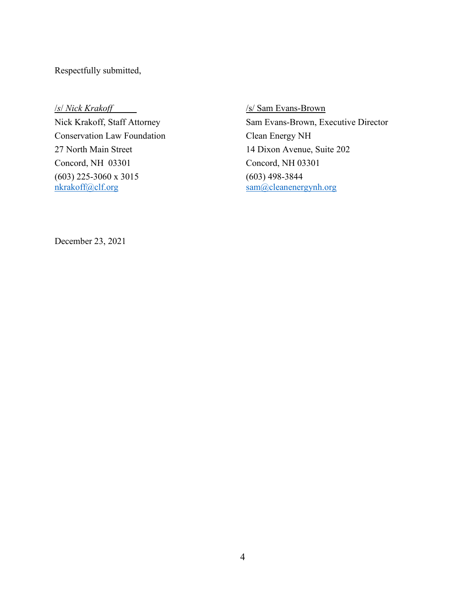Respectfully submitted,

Conservation Law Foundation Clean Energy NH 27 North Main Street 14 Dixon Avenue, Suite 202 Concord, NH 03301 Concord, NH 03301 (603) 225-3060 x 3015 (603) 498-3844 [nkrakoff@clf.org](mailto:nkrakoff@clf.org) [sam@cleanenergynh.org](mailto:sam@cleanenergynh.org)

/*s*/ *Nick Krakoff* /s/ Sam Evans-Brown Nick Krakoff, Staff Attorney Sam Evans-Brown, Executive Director

December 23, 2021